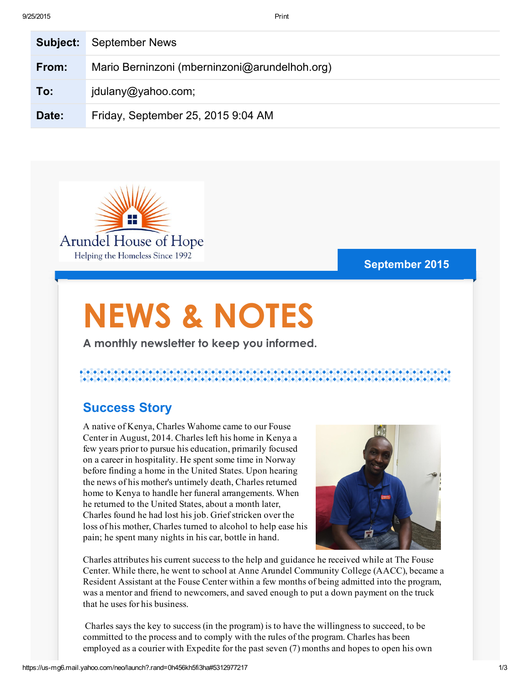

#### September 2015

# NEWS & NOTES

A monthly newsletter to keep you informed.

## Success Story

A native of Kenya, Charles Wahome came to our Fouse Center in August, 2014. Charles left his home in Kenya a few years prior to pursue his education, primarily focused on a career in hospitality. He spent some time in Norway before finding a home in the United States. Upon hearing the news of his mother's untimely death, Charles returned home to Kenya to handle her funeral arrangements. When he returned to the United States, about a month later, Charles found he had lost his job. Grief stricken over the loss of his mother, Charles turned to alcohol to help ease his pain; he spent many nights in his car, bottle in hand.



Charles attributes his current success to the help and guidance he received while at The Fouse Center. While there, he went to school at Anne Arundel Community College (AACC), became a Resident Assistant at the Fouse Center within a few months of being admitted into the program, was a mentor and friend to newcomers, and saved enough to put a down payment on the truck that he uses for his business.

Charles says the key to success (in the program) is to have the willingness to succeed, to be committed to the process and to comply with the rules of the program. Charles has been employed as a courier with Expedite for the past seven (7) months and hopes to open his own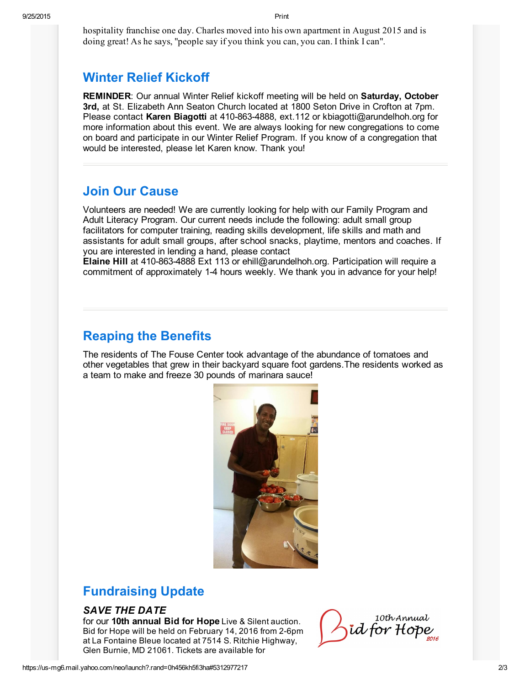hospitality franchise one day. Charles moved into his own apartment in August 2015 and is doing great! As he says, "people say if you think you can, you can. I think I can".

### Winter Relief Kickoff

REMINDER: Our annual Winter Relief kickoff meeting will be held on Saturday, October 3rd, at St. Elizabeth Ann Seaton Church located at 1800 Seton Drive in Crofton at 7pm. Please contact Karen Biagotti at 410-863-4888, ext.112 or kbiagotti@arundelhoh.org for more information about this event. We are always looking for new congregations to come on board and participate in our Winter Relief Program. If you know of a congregation that would be interested, please let Karen know. Thank you!

#### Join Our Cause

Volunteers are needed! We are currently looking for help with our Family Program and Adult Literacy Program. Our current needs include the following: adult small group facilitators for computer training, reading skills development, life skills and math and assistants for adult small groups, after school snacks, playtime, mentors and coaches. If you are interested in lending a hand, please contact

Elaine Hill at 410-863-4888 Ext 113 or ehill@arundelhoh.org. Participation will require a commitment of approximately 1-4 hours weekly. We thank you in advance for your help!

#### Reaping the Benefits

The residents of The Fouse Center took advantage of the abundance of tomatoes and other vegetables that grew in their backyard square foot gardens.The residents worked as a team to make and freeze 30 pounds of marinara sauce!



## Fundraising Update

#### *SAVE THE DATE*

for our 10th annual Bid for Hope Live & Silent auction. Bid for Hope will be held on February 14, 2016 from 2-6pm at La Fontaine Bleue located at 7514 S. Ritchie Highway, Glen Burnie, MD 21061. Tickets are available for